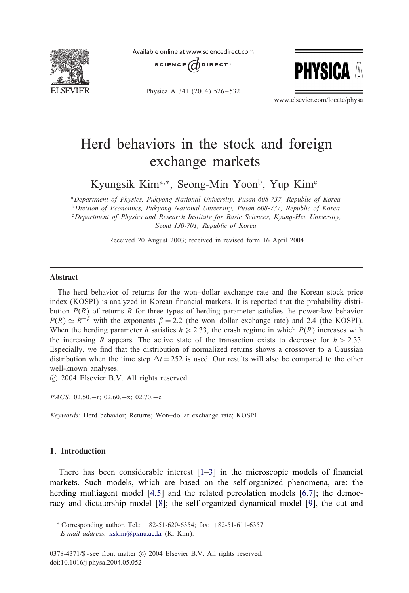

Available online at www.sciencedirect.com







www.elsevier.com/locate/physa

## Herd behaviors in the stock and foreign exchange markets

Kyungsik Kima;∗, Seong-Min Yoonb, Yup Kimc

<sup>a</sup>*Department of Physics, Pukyong National University, Pusan 608-737, Republic of Korea* <sup>b</sup>*Division of Economics, Pukyong National University, Pusan 608-737, Republic of Korea* <sup>c</sup>*Department of Physics and Research Institute for Basic Sciences, Kyung-Hee University, Seoul 130-701, Republic of Korea*

Received 20 August 2003; received in revised form 16 April 2004

### Abstract

The herd behavior of returns for the won–dollar exchange rate and the Korean stock price index (KOSPI) is analyzed in Korean financial markets. It is reported that the probability distribution  $P(R)$  of returns R for three types of herding parameter satisfies the power-law behavior  $P(R) \simeq R^{-\beta}$  with the exponents  $\beta = 2.2$  (the won–dollar exchange rate) and 2.4 (the KOSPI). When the herding parameter h satisfies  $h \ge 2.33$ , the crash regime in which  $P(R)$  increases with the increasing R appears. The active state of the transaction exists to decrease for  $h > 2.33$ . Especially, we find that the distribution of normalized returns shows a crossover to a Gaussian distribution when the time step  $\Delta t = 252$  is used. Our results will also be compared to the other well-known analyses.

c 2004 Elsevier B.V. All rights reserved.

*PACS:* 02.50.−r; 02.60.−x; 02.70.−c

*Keywords:* Herd behavior; Returns; Won–dollar exchange rate; KOSPI

## 1. Introduction

There has been considerable interest  $[1-3]$  in the microscopic models of financial markets. Such models, which are based on the self-organized phenomena, are: the herding multiagent model [\[4,5\]](#page--1-0) and the related percolation models [\[6,7\]](#page--1-0); the democracy and dictatorship model [\[8\]](#page--1-0); the self-organized dynamical model [\[9\]](#page--1-0), the cut and

<sup>∗</sup> Corresponding author. Tel.: +82-51-620-6354; fax: +82-51-611-6357.

*E-mail address:* [kskim@pknu.ac.kr](mailto:kskim@pknu.ac.kr) (K. Kim).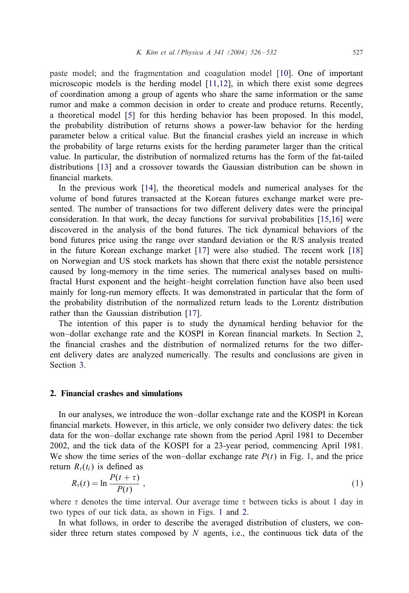paste model; and the fragmentation and coagulation model [\[10\]](#page--1-0). One of important microscopic models is the herding model  $[11,12]$ , in which there exist some degrees of coordination among a group of agents who share the same information or the same rumor and make a common decision in order to create and produce returns. Recently, a theoretical model [\[5\]](#page--1-0) for this herding behavior has been proposed. In this model, the probability distribution of returns shows a power-law behavior for the herding parameter below a critical value. But the financial crashes yield an increase in which the probability of large returns exists for the herding parameter larger than the critical value. In particular, the distribution of normalized returns has the form of the fat-tailed distributions [\[13\]](#page--1-0) and a crossover towards the Gaussian distribution can be shown in financial markets.

In the previous work [\[14\]](#page--1-0), the theoretical models and numerical analyses for the volume of bond futures transacted at the Korean futures exchange market were presented. The number of transactions for two diFerent delivery dates were the principal consideration. In that work, the decay functions for survival probabilities [\[15,16\]](#page--1-0) were discovered in the analysis of the bond futures. The tick dynamical behaviors of the bond futures price using the range over standard deviation or the R/S analysis treated in the future Korean exchange market [\[17\]](#page--1-0) were also studied. The recent work [\[18\]](#page--1-0) on Norwegian and US stock markets has shown that there exist the notable persistence caused by long-memory in the time series. The numerical analyses based on multifractal Hurst exponent and the height–height correlation function have also been used mainly for long-run memory eFects. It was demonstrated in particular that the form of the probability distribution of the normalized return leads to the Lorentz distribution rather than the Gaussian distribution [\[17\]](#page--1-0).

The intention of this paper is to study the dynamical herding behavior for the won–dollar exchange rate and the KOSPI in Korean financial markets. In Section 2, the financial crashes and the distribution of normalized returns for the two different delivery dates are analyzed numerically. The results and conclusions are given in Section [3.](#page--1-0)

#### 2. Financial crashes and simulations

In our analyses, we introduce the won–dollar exchange rate and the KOSPI in Korean financial markets. However, in this article, we only consider two delivery dates: the tick data for the won–dollar exchange rate shown from the period April 1981 to December 2002, and the tick data of the KOSPI for a 23-year period, commencing April 1981. We show the time series of the won–dollar exchange rate  $P(t)$  in Fig. [1,](#page--1-0) and the price return  $R_{\tau}(t_i)$  is defined as

$$
R_{\tau}(t) = \ln \frac{P(t+\tau)}{P(t)},
$$
\n(1)

where  $\tau$  denotes the time interval. Our average time  $\tau$  between ticks is about 1 day in two types of our tick data, as shown in Figs. [1](#page--1-0) and [2.](#page--1-0)

In what follows, in order to describe the averaged distribution of clusters, we consider three return states composed by  $N$  agents, i.e., the continuous tick data of the